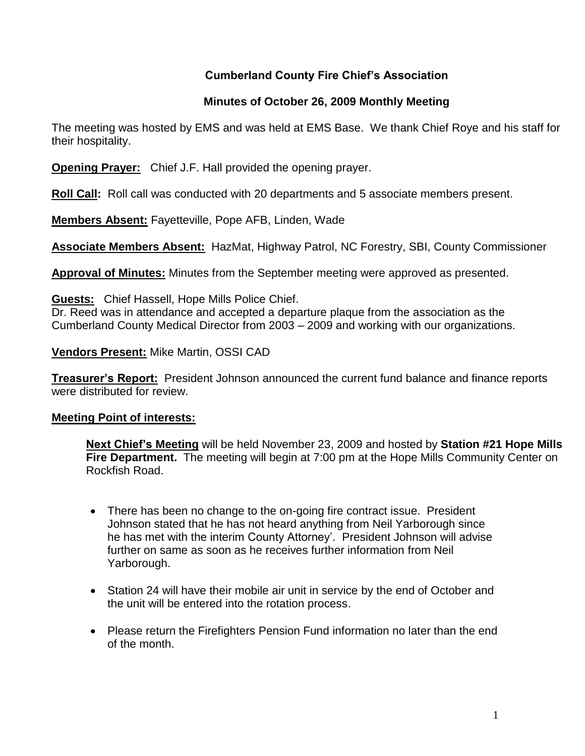## **Cumberland County Fire Chief's Association**

#### **Minutes of October 26, 2009 Monthly Meeting**

The meeting was hosted by EMS and was held at EMS Base. We thank Chief Roye and his staff for their hospitality.

**Opening Prayer:** Chief J.F. Hall provided the opening prayer.

**Roll Call:** Roll call was conducted with 20 departments and 5 associate members present.

**Members Absent:** Fayetteville, Pope AFB, Linden, Wade

**Associate Members Absent:** HazMat, Highway Patrol, NC Forestry, SBI, County Commissioner

**Approval of Minutes:** Minutes from the September meeting were approved as presented.

**Guests:** Chief Hassell, Hope Mills Police Chief.

Dr. Reed was in attendance and accepted a departure plaque from the association as the Cumberland County Medical Director from 2003 – 2009 and working with our organizations.

#### **Vendors Present:** Mike Martin, OSSI CAD

**Treasurer's Report:** President Johnson announced the current fund balance and finance reports were distributed for review.

#### **Meeting Point of interests:**

**Next Chief's Meeting** will be held November 23, 2009 and hosted by **Station #21 Hope Mills Fire Department.** The meeting will begin at 7:00 pm at the Hope Mills Community Center on Rockfish Road.

- There has been no change to the on-going fire contract issue. President Johnson stated that he has not heard anything from Neil Yarborough since he has met with the interim County Attorney'. President Johnson will advise further on same as soon as he receives further information from Neil Yarborough.
- Station 24 will have their mobile air unit in service by the end of October and the unit will be entered into the rotation process.
- Please return the Firefighters Pension Fund information no later than the end of the month.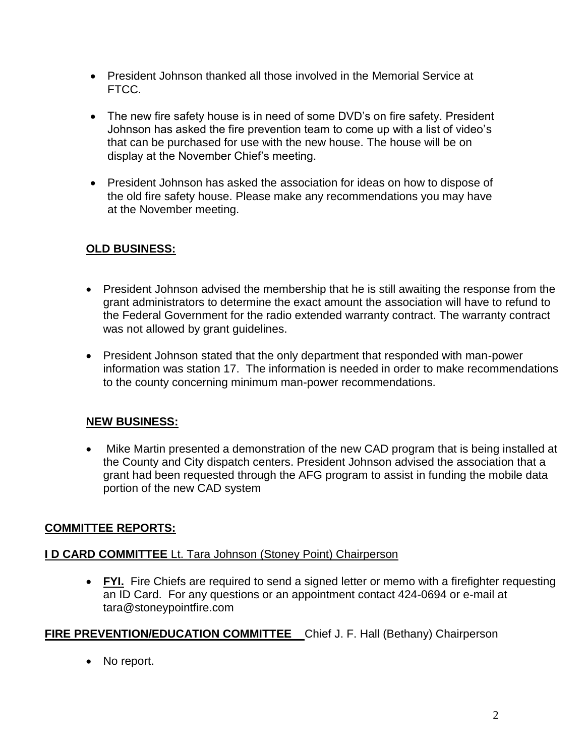- President Johnson thanked all those involved in the Memorial Service at FTCC.
- The new fire safety house is in need of some DVD's on fire safety. President Johnson has asked the fire prevention team to come up with a list of video's that can be purchased for use with the new house. The house will be on display at the November Chief's meeting.
- President Johnson has asked the association for ideas on how to dispose of the old fire safety house. Please make any recommendations you may have at the November meeting.

# **OLD BUSINESS:**

- President Johnson advised the membership that he is still awaiting the response from the grant administrators to determine the exact amount the association will have to refund to the Federal Government for the radio extended warranty contract. The warranty contract was not allowed by grant guidelines.
- President Johnson stated that the only department that responded with man-power information was station 17. The information is needed in order to make recommendations to the county concerning minimum man-power recommendations.

# **NEW BUSINESS:**

• Mike Martin presented a demonstration of the new CAD program that is being installed at the County and City dispatch centers. President Johnson advised the association that a grant had been requested through the AFG program to assist in funding the mobile data portion of the new CAD system

# **COMMITTEE REPORTS:**

# **I D CARD COMMITTEE** Lt. Tara Johnson (Stoney Point) Chairperson

 **FYI.** Fire Chiefs are required to send a signed letter or memo with a firefighter requesting an ID Card. For any questions or an appointment contact 424-0694 or e-mail at [tara@stoneypointfire.com](mailto:tara@stoneypointfire.com)

# **FIRE PREVENTION/EDUCATION COMMITTEE** Chief J. F. Hall (Bethany) Chairperson

• No report.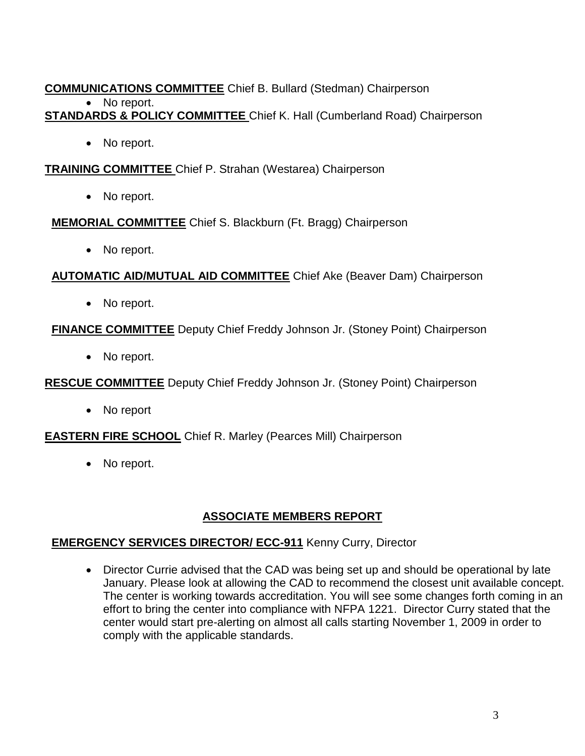#### **COMMUNICATIONS COMMITTEE** Chief B. Bullard (Stedman) Chairperson • No report. **STANDARDS & POLICY COMMITTEE** Chief K. Hall (Cumberland Road) Chairperson

• No report.

**TRAINING COMMITTEE** Chief P. Strahan (Westarea) Chairperson

• No report.

**MEMORIAL COMMITTEE** Chief S. Blackburn (Ft. Bragg) Chairperson

• No report.

**AUTOMATIC AID/MUTUAL AID COMMITTEE** Chief Ake (Beaver Dam) Chairperson

• No report.

**FINANCE COMMITTEE** Deputy Chief Freddy Johnson Jr. (Stoney Point) Chairperson

• No report.

**RESCUE COMMITTEE** Deputy Chief Freddy Johnson Jr. (Stoney Point) Chairperson

• No report

**EASTERN FIRE SCHOOL** Chief R. Marley (Pearces Mill) Chairperson

• No report.

### **ASSOCIATE MEMBERS REPORT**

### **EMERGENCY SERVICES DIRECTOR/ ECC-911** Kenny Curry, Director

• Director Currie advised that the CAD was being set up and should be operational by late January. Please look at allowing the CAD to recommend the closest unit available concept. The center is working towards accreditation. You will see some changes forth coming in an effort to bring the center into compliance with NFPA 1221. Director Curry stated that the center would start pre-alerting on almost all calls starting November 1, 2009 in order to comply with the applicable standards.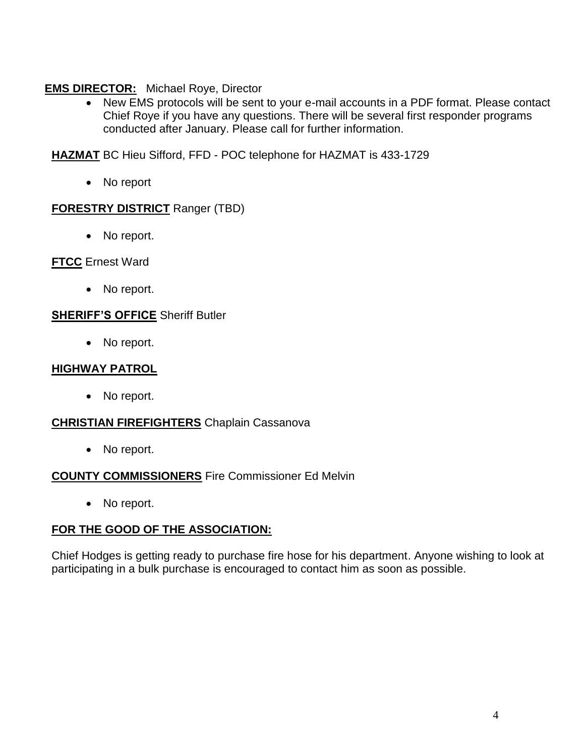## **EMS DIRECTOR:** Michael Roye, Director

• New EMS protocols will be sent to your e-mail accounts in a PDF format. Please contact Chief Roye if you have any questions. There will be several first responder programs conducted after January. Please call for further information.

**HAZMAT** BC Hieu Sifford, FFD - POC telephone for HAZMAT is 433-1729

No report

### **FORESTRY DISTRICT** Ranger (TBD)

• No report.

#### **FTCC** Ernest Ward

• No report.

#### **SHERIFF'S OFFICE** Sheriff Butler

• No report.

### **HIGHWAY PATROL**

• No report.

#### **CHRISTIAN FIREFIGHTERS** Chaplain Cassanova

• No report.

### **COUNTY COMMISSIONERS** Fire Commissioner Ed Melvin

• No report.

### **FOR THE GOOD OF THE ASSOCIATION:**

Chief Hodges is getting ready to purchase fire hose for his department. Anyone wishing to look at participating in a bulk purchase is encouraged to contact him as soon as possible.